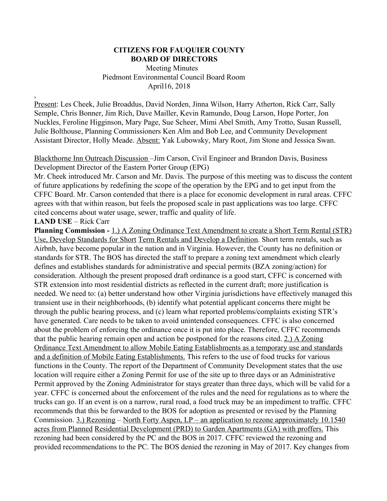### **CITIZENS FOR FAUQUIER COUNTY BOARD OF DIRECTORS**

 Meeting Minutes Piedmont Environmental Council Board Room April16, 2018

Present: Les Cheek, Julie Broaddus, David Norden, Jinna Wilson, Harry Atherton, Rick Carr, Sally Semple, Chris Bonner, Jim Rich, Dave Mailler, Kevin Ramundo, Doug Larson, Hope Porter, Jon Nuckles, Feroline Higginson, Mary Page, Sue Scheer, Mimi Abel Smith, Amy Trotto, Susan Russell, Julie Bolthouse, Planning Commissioners Ken Alm and Bob Lee, and Community Development Assistant Director, Holly Meade. Absent: Yak Lubowsky, Mary Root, Jim Stone and Jessica Swan.

Blackthorne Inn Outreach Discussion –Jim Carson, Civil Engineer and Brandon Davis, Business Development Director of the Eastern Porter Group (EPG)

Mr. Cheek introduced Mr. Carson and Mr. Davis. The purpose of this meeting was to discuss the content of future applications by redefining the scope of the operation by the EPG and to get input from the CFFC Board. Mr. Carson contended that there is a place for economic development in rural areas. CFFC agrees with that within reason, but feels the proposed scale in past applications was too large. CFFC cited concerns about water usage, sewer, traffic and quality of life.

### **LAND USE** – Rick Carr

,

**Planning Commission -** 1.) A Zoning Ordinance Text Amendment to create a Short Term Rental (STR) Use, Develop Standards for Short Term Rentals and Develop a Definition. Short term rentals, such as Airbnb, have become popular in the nation and in Virginia. However, the County has no definition or standards for STR. The BOS has directed the staff to prepare a zoning text amendment which clearly defines and establishes standards for administrative and special permits (BZA zoning/action) for consideration. Although the present proposed draft ordinance is a good start, CFFC is concerned with STR extension into most residential districts as reflected in the current draft; more justification is needed. We need to: (a) better understand how other Virginia jurisdictions have effectively managed this transient use in their neighborhoods, (b) identify what potential applicant concerns there might be through the public hearing process, and (c) learn what reported problems/complaints existing STR's have generated. Care needs to be taken to avoid unintended consequences. CFFC is also concerned about the problem of enforcing the ordinance once it is put into place. Therefore, CFFC recommends that the public hearing remain open and action be postponed for the reasons cited. 2.) A Zoning Ordinance Text Amendment to allow Mobile Eating Establishments as a temporary use and standards and a definition of Mobile Eating Establishments. This refers to the use of food trucks for various functions in the County. The report of the Department of Community Development states that the use location will require either a Zoning Permit for use of the site up to three days or an Administrative Permit approved by the Zoning Administrator for stays greater than three days, which will be valid for a year. CFFC is concerned about the enforcement of the rules and the need for regulations as to where the trucks can go. If an event is on a narrow, rural road, a food truck may be an impediment to traffic. CFFC recommends that this be forwarded to the BOS for adoption as presented or revised by the Planning Commission. 3.) Rezoning – North Forty Aspen, LP – an application to rezone approximately 10.1540 acres from Planned Residential Development (PRD) to Garden Apartments (GA) with proffers. This rezoning had been considered by the PC and the BOS in 2017. CFFC reviewed the rezoning and provided recommendations to the PC. The BOS denied the rezoning in May of 2017. Key changes from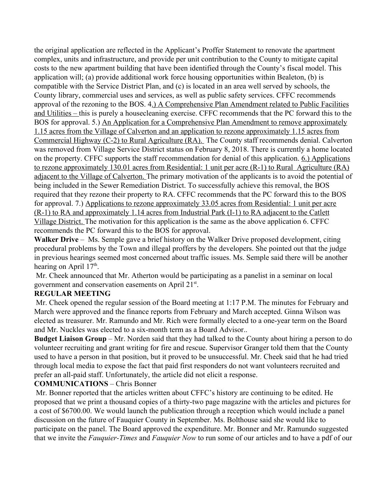the original application are reflected in the Applicant's Proffer Statement to renovate the apartment complex, units and infrastructure, and provide per unit contribution to the County to mitigate capital costs to the new apartment building that have been identified through the County's fiscal model. This application will; (a) provide additional work force housing opportunities within Bealeton, (b) is compatible with the Service District Plan, and (c) is located in an area well served by schools, the County library, commercial uses and services, as well as public safety services. CFFC recommends approval of the rezoning to the BOS. 4.) A Comprehensive Plan Amendment related to Public Facilities and Utilities – this is purely a housecleaning exercise. CFFC recommends that the PC forward this to the BOS for approval. 5.) An Application for a Comprehensive Plan Amendment to remove approximately 1.15 acres from the Village of Calverton and an application to rezone approximately 1.15 acres from Commercial Highway (C-2) to Rural Agriculture (RA). The County staff recommends denial. Calverton was removed from Village Service District status on February 8, 2018. There is currently a home located on the property. CFFC supports the staff recommendation for denial of this application. 6.) Applications to rezone approximately 130.01 acres from Residential: 1 unit per acre (R-1) to Rural Agriculture (RA) adjacent to the Village of Calverton. The primary motivation of the applicants is to avoid the potential of being included in the Sewer Remediation District. To successfully achieve this removal, the BOS required that they rezone their property to RA. CFFC recommends that the PC forward this to the BOS for approval. 7.) Applications to rezone approximately 33.05 acres from Residential: 1 unit per acre (R-1) to RA and approximately 1.14 acres from Industrial Park (I-1) to RA adjacent to the Catlett Village District. The motivation for this application is the same as the above application 6. CFFC recommends the PC forward this to the BOS for approval.

**Walker Drive** – Ms. Semple gave a brief history on the Walker Drive proposed development, citing procedural problems by the Town and illegal proffers by the developers. She pointed out that the judge in previous hearings seemed most concerned about traffic issues. Ms. Semple said there will be another hearing on April 17<sup>th</sup>.

 Mr. Cheek announced that Mr. Atherton would be participating as a panelist in a seminar on local government and conservation easements on April 21<sup>st</sup>.

# **REGULAR MEETING**

 Mr. Cheek opened the regular session of the Board meeting at 1:17 P.M. The minutes for February and March were approved and the finance reports from February and March accepted. Ginna Wilson was elected as treasurer. Mr. Ramundo and Mr. Rich were formally elected to a one-year term on the Board and Mr. Nuckles was elected to a six-month term as a Board Advisor..

**Budget Liaison Group** – Mr. Norden said that they had talked to the County about hiring a person to do volunteer recruiting and grant writing for fire and rescue. Supervisor Granger told them that the County used to have a person in that position, but it proved to be unsuccessful. Mr. Cheek said that he had tried through local media to expose the fact that paid first responders do not want volunteers recruited and prefer an all-paid staff. Unfortunately, the article did not elicit a response.

### **COMMUNICATIONS** – Chris Bonner

 Mr. Bonner reported that the articles written about CFFC's history are continuing to be edited. He proposed that we print a thousand copies of a thirty-two page magazine with the articles and pictures for a cost of \$6700.00. We would launch the publication through a reception which would include a panel discussion on the future of Fauquier County in September. Ms. Bolthouse said she would like to participate on the panel. The Board approved the expenditure. Mr. Bonner and Mr. Ramundo suggested that we invite the *Fauquier-Times* and *Fauquier Now* to run some of our articles and to have a pdf of our